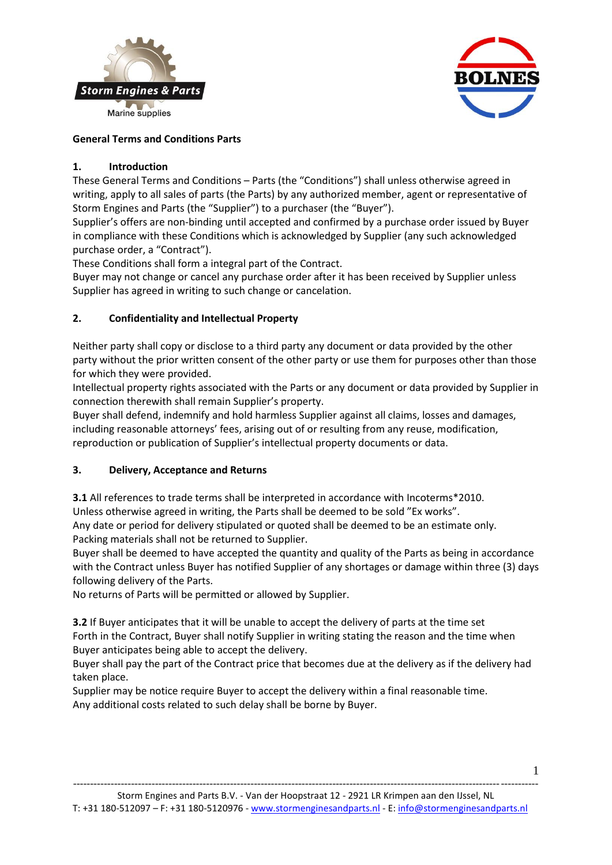



# **General Terms and Conditions Parts**

## **1. Introduction**

These General Terms and Conditions – Parts (the "Conditions") shall unless otherwise agreed in writing, apply to all sales of parts (the Parts) by any authorized member, agent or representative of Storm Engines and Parts (the "Supplier") to a purchaser (the "Buyer").

Supplier's offers are non-binding until accepted and confirmed by a purchase order issued by Buyer in compliance with these Conditions which is acknowledged by Supplier (any such acknowledged purchase order, a "Contract").

These Conditions shall form a integral part of the Contract.

Buyer may not change or cancel any purchase order after it has been received by Supplier unless Supplier has agreed in writing to such change or cancelation.

## **2. Confidentiality and Intellectual Property**

Neither party shall copy or disclose to a third party any document or data provided by the other party without the prior written consent of the other party or use them for purposes other than those for which they were provided.

Intellectual property rights associated with the Parts or any document or data provided by Supplier in connection therewith shall remain Supplier's property.

Buyer shall defend, indemnify and hold harmless Supplier against all claims, losses and damages, including reasonable attorneys' fees, arising out of or resulting from any reuse, modification, reproduction or publication of Supplier's intellectual property documents or data.

#### **3. Delivery, Acceptance and Returns**

**3.1** All references to trade terms shall be interpreted in accordance with Incoterms\*2010. Unless otherwise agreed in writing, the Parts shall be deemed to be sold "Ex works". Any date or period for delivery stipulated or quoted shall be deemed to be an estimate only.

Packing materials shall not be returned to Supplier.

Buyer shall be deemed to have accepted the quantity and quality of the Parts as being in accordance with the Contract unless Buyer has notified Supplier of any shortages or damage within three (3) days following delivery of the Parts.

No returns of Parts will be permitted or allowed by Supplier.

**3.2** If Buyer anticipates that it will be unable to accept the delivery of parts at the time set Forth in the Contract, Buyer shall notify Supplier in writing stating the reason and the time when Buyer anticipates being able to accept the delivery.

Buyer shall pay the part of the Contract price that becomes due at the delivery as if the delivery had taken place.

Supplier may be notice require Buyer to accept the delivery within a final reasonable time. Any additional costs related to such delay shall be borne by Buyer.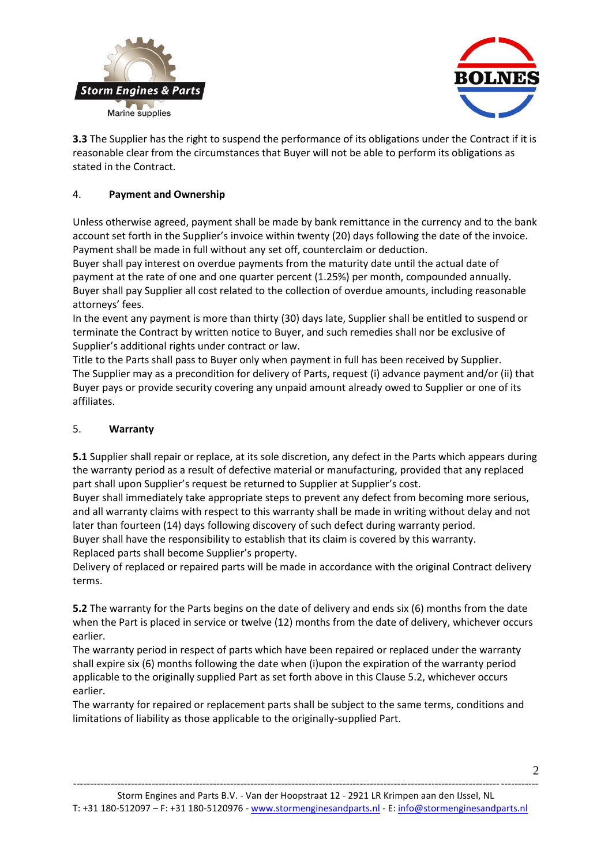



**3.3** The Supplier has the right to suspend the performance of its obligations under the Contract if it is reasonable clear from the circumstances that Buyer will not be able to perform its obligations as stated in the Contract.

## 4. **Payment and Ownership**

Unless otherwise agreed, payment shall be made by bank remittance in the currency and to the bank account set forth in the Supplier's invoice within twenty (20) days following the date of the invoice. Payment shall be made in full without any set off, counterclaim or deduction.

Buyer shall pay interest on overdue payments from the maturity date until the actual date of payment at the rate of one and one quarter percent (1.25%) per month, compounded annually. Buyer shall pay Supplier all cost related to the collection of overdue amounts, including reasonable attorneys' fees.

In the event any payment is more than thirty (30) days late, Supplier shall be entitled to suspend or terminate the Contract by written notice to Buyer, and such remedies shall nor be exclusive of Supplier's additional rights under contract or law.

Title to the Parts shall pass to Buyer only when payment in full has been received by Supplier. The Supplier may as a precondition for delivery of Parts, request (i) advance payment and/or (ii) that Buyer pays or provide security covering any unpaid amount already owed to Supplier or one of its affiliates.

## 5. **Warranty**

**5.1** Supplier shall repair or replace, at its sole discretion, any defect in the Parts which appears during the warranty period as a result of defective material or manufacturing, provided that any replaced part shall upon Supplier's request be returned to Supplier at Supplier's cost.

Buyer shall immediately take appropriate steps to prevent any defect from becoming more serious, and all warranty claims with respect to this warranty shall be made in writing without delay and not later than fourteen (14) days following discovery of such defect during warranty period. Buyer shall have the responsibility to establish that its claim is covered by this warranty.

Replaced parts shall become Supplier's property.

Delivery of replaced or repaired parts will be made in accordance with the original Contract delivery terms.

**5.2** The warranty for the Parts begins on the date of delivery and ends six (6) months from the date when the Part is placed in service or twelve (12) months from the date of delivery, whichever occurs earlier.

The warranty period in respect of parts which have been repaired or replaced under the warranty shall expire six (6) months following the date when (i)upon the expiration of the warranty period applicable to the originally supplied Part as set forth above in this Clause 5.2, whichever occurs earlier.

The warranty for repaired or replacement parts shall be subject to the same terms, conditions and limitations of liability as those applicable to the originally-supplied Part.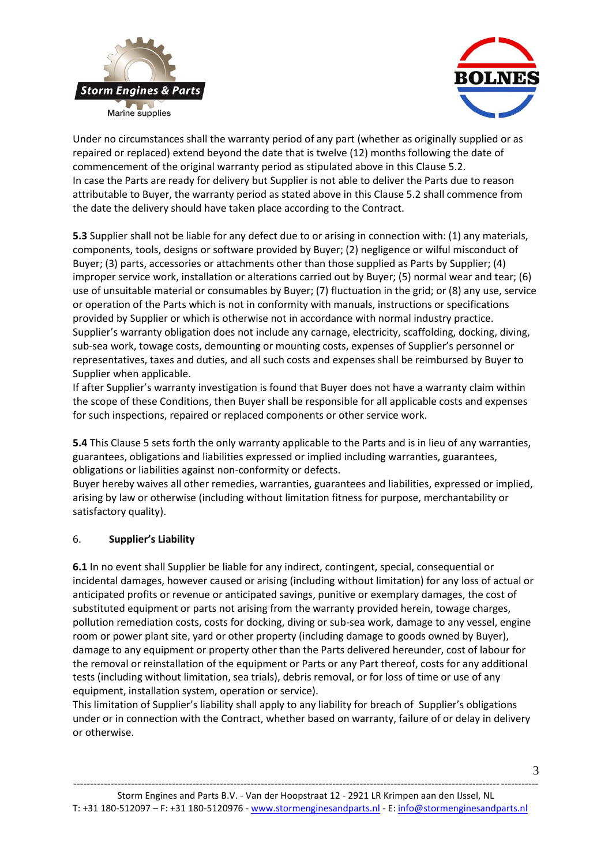



Under no circumstances shall the warranty period of any part (whether as originally supplied or as repaired or replaced) extend beyond the date that is twelve (12) months following the date of commencement of the original warranty period as stipulated above in this Clause 5.2. In case the Parts are ready for delivery but Supplier is not able to deliver the Parts due to reason attributable to Buyer, the warranty period as stated above in this Clause 5.2 shall commence from the date the delivery should have taken place according to the Contract.

**5.3** Supplier shall not be liable for any defect due to or arising in connection with: (1) any materials, components, tools, designs or software provided by Buyer; (2) negligence or wilful misconduct of Buyer; (3) parts, accessories or attachments other than those supplied as Parts by Supplier; (4) improper service work, installation or alterations carried out by Buyer; (5) normal wear and tear; (6) use of unsuitable material or consumables by Buyer; (7) fluctuation in the grid; or (8) any use, service or operation of the Parts which is not in conformity with manuals, instructions or specifications provided by Supplier or which is otherwise not in accordance with normal industry practice. Supplier's warranty obligation does not include any carnage, electricity, scaffolding, docking, diving, sub-sea work, towage costs, demounting or mounting costs, expenses of Supplier's personnel or representatives, taxes and duties, and all such costs and expenses shall be reimbursed by Buyer to Supplier when applicable.

If after Supplier's warranty investigation is found that Buyer does not have a warranty claim within the scope of these Conditions, then Buyer shall be responsible for all applicable costs and expenses for such inspections, repaired or replaced components or other service work.

**5.4** This Clause 5 sets forth the only warranty applicable to the Parts and is in lieu of any warranties, guarantees, obligations and liabilities expressed or implied including warranties, guarantees, obligations or liabilities against non-conformity or defects.

Buyer hereby waives all other remedies, warranties, guarantees and liabilities, expressed or implied, arising by law or otherwise (including without limitation fitness for purpose, merchantability or satisfactory quality).

#### 6. **Supplier's Liability**

**6.1** In no event shall Supplier be liable for any indirect, contingent, special, consequential or incidental damages, however caused or arising (including without limitation) for any loss of actual or anticipated profits or revenue or anticipated savings, punitive or exemplary damages, the cost of substituted equipment or parts not arising from the warranty provided herein, towage charges, pollution remediation costs, costs for docking, diving or sub-sea work, damage to any vessel, engine room or power plant site, yard or other property (including damage to goods owned by Buyer), damage to any equipment or property other than the Parts delivered hereunder, cost of labour for the removal or reinstallation of the equipment or Parts or any Part thereof, costs for any additional tests (including without limitation, sea trials), debris removal, or for loss of time or use of any equipment, installation system, operation or service).

This limitation of Supplier's liability shall apply to any liability for breach of Supplier's obligations under or in connection with the Contract, whether based on warranty, failure of or delay in delivery or otherwise.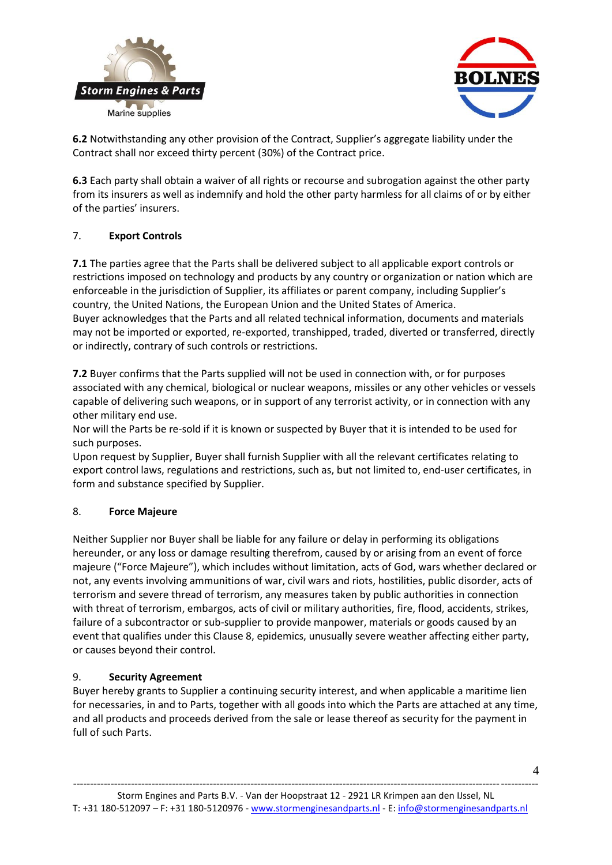



**6.2** Notwithstanding any other provision of the Contract, Supplier's aggregate liability under the Contract shall nor exceed thirty percent (30%) of the Contract price.

**6.3** Each party shall obtain a waiver of all rights or recourse and subrogation against the other party from its insurers as well as indemnify and hold the other party harmless for all claims of or by either of the parties' insurers.

#### 7. **Export Controls**

**7.1** The parties agree that the Parts shall be delivered subject to all applicable export controls or restrictions imposed on technology and products by any country or organization or nation which are enforceable in the jurisdiction of Supplier, its affiliates or parent company, including Supplier's country, the United Nations, the European Union and the United States of America. Buyer acknowledges that the Parts and all related technical information, documents and materials may not be imported or exported, re-exported, transhipped, traded, diverted or transferred, directly or indirectly, contrary of such controls or restrictions.

**7.2** Buyer confirms that the Parts supplied will not be used in connection with, or for purposes associated with any chemical, biological or nuclear weapons, missiles or any other vehicles or vessels capable of delivering such weapons, or in support of any terrorist activity, or in connection with any other military end use.

Nor will the Parts be re-sold if it is known or suspected by Buyer that it is intended to be used for such purposes.

Upon request by Supplier, Buyer shall furnish Supplier with all the relevant certificates relating to export control laws, regulations and restrictions, such as, but not limited to, end-user certificates, in form and substance specified by Supplier.

#### 8. **Force Majeure**

Neither Supplier nor Buyer shall be liable for any failure or delay in performing its obligations hereunder, or any loss or damage resulting therefrom, caused by or arising from an event of force majeure ("Force Majeure"), which includes without limitation, acts of God, wars whether declared or not, any events involving ammunitions of war, civil wars and riots, hostilities, public disorder, acts of terrorism and severe thread of terrorism, any measures taken by public authorities in connection with threat of terrorism, embargos, acts of civil or military authorities, fire, flood, accidents, strikes, failure of a subcontractor or sub-supplier to provide manpower, materials or goods caused by an event that qualifies under this Clause 8, epidemics, unusually severe weather affecting either party, or causes beyond their control.

#### 9. **Security Agreement**

Buyer hereby grants to Supplier a continuing security interest, and when applicable a maritime lien for necessaries, in and to Parts, together with all goods into which the Parts are attached at any time, and all products and proceeds derived from the sale or lease thereof as security for the payment in full of such Parts.